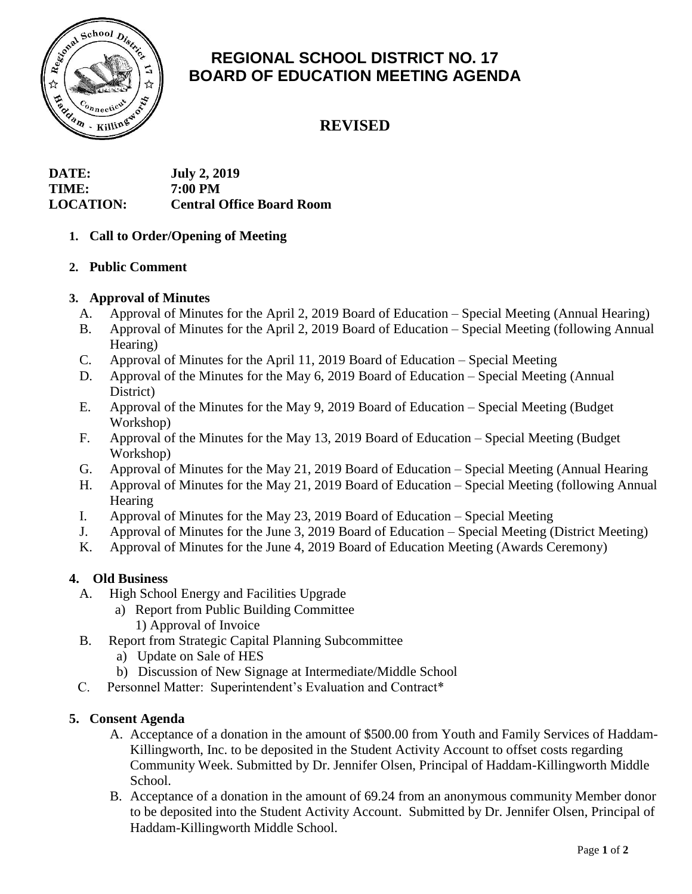

# **REGIONAL SCHOOL DISTRICT NO. 17 BOARD OF EDUCATION MEETING AGENDA**

## **REVISED**

| DATE:            | <b>July 2, 2019</b>              |
|------------------|----------------------------------|
| TIME:            | 7:00 PM                          |
| <b>LOCATION:</b> | <b>Central Office Board Room</b> |

## **1. Call to Order/Opening of Meeting**

## **2. Public Comment**

## **3. Approval of Minutes**

- A. Approval of Minutes for the April 2, 2019 Board of Education Special Meeting (Annual Hearing)
- B. Approval of Minutes for the April 2, 2019 Board of Education Special Meeting (following Annual Hearing)
- C. Approval of Minutes for the April 11, 2019 Board of Education Special Meeting
- D. Approval of the Minutes for the May 6, 2019 Board of Education Special Meeting (Annual District)
- E. Approval of the Minutes for the May 9, 2019 Board of Education Special Meeting (Budget Workshop)
- F. Approval of the Minutes for the May 13, 2019 Board of Education Special Meeting (Budget Workshop)
- G. Approval of Minutes for the May 21, 2019 Board of Education Special Meeting (Annual Hearing
- H. Approval of Minutes for the May 21, 2019 Board of Education Special Meeting (following Annual **Hearing**
- I. Approval of Minutes for the May 23, 2019 Board of Education Special Meeting
- J. Approval of Minutes for the June 3, 2019 Board of Education Special Meeting (District Meeting)
- K. Approval of Minutes for the June 4, 2019 Board of Education Meeting (Awards Ceremony)

## **4. Old Business**

- A. High School Energy and Facilities Upgrade
	- a) Report from Public Building Committee
		- 1) Approval of Invoice
- B. Report from Strategic Capital Planning Subcommittee
	- a) Update on Sale of HES
	- b) Discussion of New Signage at Intermediate/Middle School
- C. Personnel Matter: Superintendent's Evaluation and Contract\*

## **5. Consent Agenda**

- A. Acceptance of a donation in the amount of \$500.00 from Youth and Family Services of Haddam-Killingworth, Inc. to be deposited in the Student Activity Account to offset costs regarding Community Week. Submitted by Dr. Jennifer Olsen, Principal of Haddam-Killingworth Middle School.
- B. Acceptance of a donation in the amount of 69.24 from an anonymous community Member donor to be deposited into the Student Activity Account. Submitted by Dr. Jennifer Olsen, Principal of Haddam-Killingworth Middle School.